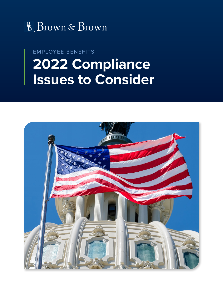

## EMPLOYEE BENEFITS **2022 Compliance Issues to Consider**

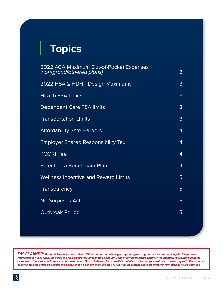# **Topics**

| 2022 ACA Maximum Out-of-Pocket Expenses<br>(non-grandfathered plans) | 3 |
|----------------------------------------------------------------------|---|
| 2022 HSA & HDHP Design Maximums                                      | 3 |
| <b>Health FSA Limits</b>                                             | 3 |
| Dependent Care FSA limits                                            | 3 |
| <b>Transportation Limits</b>                                         | 3 |
| <b>Affordability Safe Harbors</b>                                    | 4 |
| <b>Employer Shared Responsibility Tax</b>                            | 4 |
| <b>PCORI Fee</b>                                                     | 4 |
| Selecting a Benchmark Plan                                           | 4 |
| <b>Wellness Incentive and Reward Limits</b>                          | 5 |
| <b>Transparency</b>                                                  | 5 |
| <b>No Surprises Act</b>                                              | 5 |
| <b>Outbreak Period</b>                                               | 5 |
|                                                                      |   |

*DISCLAIMER: Brown & Brown, Inc. and all its affiliates, do not provide legal, regulatory or tax guidance, or advice. If legal advice counsel or representation is needed, the services of a legal professional should be sought. The information in this document is intended to provide a general overview of the topics and services contained herein. Brown & Brown, Inc. and all its affiliates, make no representation or warranty as to the accuracy or completeness of the document and undertakes no obligation to update or revise the document based upon new information or future changes.*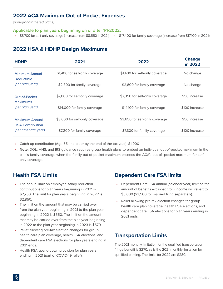## <span id="page-2-0"></span>**2022 ACA Maximum Out-of-Pocket Expenses**

*(non-grandfathered plans)*

#### **Applicable to plan years beginning on or after 1/1/2022:**

**•** \$8,700 for self-only coverage (increase from \$8,550 in 2021) **•** \$17,400 for family coverage (increase from \$17,100 in 2021)

## **2022 HSA & HDHP Design Maximums**

| <b>HDHP</b>                                                             | 2021                           | 2022                           | <b>Change</b><br>in 2022 |
|-------------------------------------------------------------------------|--------------------------------|--------------------------------|--------------------------|
| <b>Minimum Annual</b><br><b>Deductible</b><br>(per plan year)           | \$1,400 for self-only coverage | \$1,400 for self-only coverage | No change                |
|                                                                         | \$2,800 for family coverage    | \$2,800 for family coverage    | No change                |
| <b>Out-of-Pocket</b><br><b>Maximums</b><br>(per plan year)              | \$7,000 for self-only coverage | \$7,050 for self-only coverage | \$50 increase            |
|                                                                         | \$14,000 for family coverage   | \$14,100 for family coverage   | \$100 increase           |
| <b>Maximum Annual</b><br><b>HSA Contribution</b><br>(per calendar year) | \$3,600 for self-only coverage | \$3,650 for self-only coverage | \$50 increase            |
|                                                                         | \$7,200 for family coverage    | \$7,300 for family coverage    | \$100 increase           |

**•** Catch-up contribution (Age 55 and older by the end of the tax year): \$1,000

**• Note:** DOL, HHS, and IRS guidance requires group health plans to embed an individual out-of-pocket maximum in the plan's family coverage when the family out-of-pocket maximum exceeds the ACA's out-of- pocket maximum for selfonly coverage.

## **Health FSA Limits**

- **•** The annual limit on employee salary reduction contributions for plan years beginning in 2021 is \$2,750. The limit for plan years beginning in 2022 is \$2,850.
- **•** The limit on the amount that may be carried over from the plan year beginning in 2021 to the plan year beginning in 2022 is \$550. The limit on the amount that may be carried over from the plan year beginning in 2022 to the plan year beginning in 2023 is \$570.
- **•** Relief allowing pre-tax election changes for group health care plan coverage, health FSA elections, and dependent care FSA elections for plan years ending in 2021 ends.
- **•** Health FSA spend-down provision for plan years ending in 2021 (part of COVID-19 relief).

### **Dependent Care FSA limits**

- **•** Dependent Care FSA annual (calendar year) limit on the amount of benefits excluded from income will revert to \$5,000 (\$2,500 for married filing separately).
- **•** Relief allowing pre-tax election changes for group health care plan coverage, health FSA elections, and dependent care FSA elections for plan years ending in 2021 ends.

### **Transportation Limits**

The 2021 monthly limitation for the qualified transportation fringe benefit is \$270, as is the 2021 monthly limitation for qualified parking. The limits for 2022 are \$280.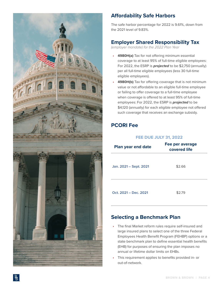<span id="page-3-0"></span>

## **Affordability Safe Harbors**

The safe harbor percentage for 2022 is 9.61%, down from the 2021 level of 9.83%.

## **Employer Shared Responsibility Tax**

*(employer mandate) for the 2022 Plan Year*

- **• 4980H(a)** Tax for not offering minimum essential coverage to at least 95% of full-time eligible employees: For 2022, the ESRP is *projected* to be \$2,750 (annually) per all full-time eligible employees (less 30 full-time eligible employees).
- **4980H(b)** Tax for offering coverage that is not minimum value or not affordable to an eligible full-time employee or failing to offer coverage to a full-time employee when coverage is offered to at least 95% of full-time employees: For 2022, the ESRP is *projected* to be \$4,120 (annually) for each eligible employee not offered such coverage that receives an exchange subsidy.

## **PCORI Fee**

#### **FEE DUE JULY 31, 2022**

| <b>Plan year end date</b> | Fee per average<br>covered life |
|---------------------------|---------------------------------|
| Jan. 2021 – Sept. 2021    | \$2.66                          |
| Oct. 2021 – Dec. 2021     | \$2.79                          |

## **Selecting a Benchmark Plan**

- **•** The final Market reform rules require self-insured and large insured plans to select one of the three Federal Employees Health Benefit Program (FEHBP) options or a state benchmark plan to define essential health benefits (EHB) for purposes of ensuring the plan imposes no annual or lifetime dollar limits on EHBs.
- **•** This requirement applies to benefits provided in- or out-of-network.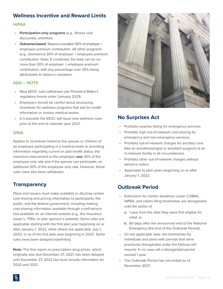## <span id="page-4-0"></span>**Wellness Incentive and Reward Limits**

#### **HIPAA**

- **• Participation-only programs** (e.g., fitness club discounts): unlimited.
- **• Outcomes-based:** Tobacco cessation 50% of employer + employee premium contribution. All other programs (e.g., biometrics) 30% of employer + employee premium contribution. Note: If combined, the total can be no more than 50% of employer + employee premium contribution, with any percentage over 30% being attributable to tobacco cessation.

#### **ADA – NOTE**

- **•** New EEOC rules withdrawn per President Biden's regulatory freeze order (January 2021).
- **•** Employers should be careful about structuring incentives for wellness programs that ask for health information or involve medical exams.
- **•** It is possible the EEOC will issue new wellness rules prior to the end of calendar year 2021.

#### **GINA**

Applies to incentives linked to the spouse or children of an employee participating in a medical exam or providing information regarding current or past health status: the maximum inducement to the employee *was* 30% of the employee only rate and if the spouse can participate, an additional 30% of the employee only rate. However, these rules have also been withdrawn.

## **Transparency**

Plans and issuers must make available or disclose certain cost-sharing and pricing information to participants, the public, and the federal government, including making cost-sharing information available through a self-service tool available on an internet website (e.g., the insurance issuer's, TPA's, or plan sponsor's website). Some rules are applicable starting with the first plan year beginning on or after January 1, 2022, while others are applicable July 1, 2022, or as of the first plan year beginning in 2023. Some rules have been delayed indefinitely.

**Note:** The first report on prescription drug prices, which originally was due December 27, 2021, has been delayed until December 27, 2022 but must include information for 2020 and 2021.



## **No Surprises Act**

- **•** Prohibits surprise billing for emergency services.
- **•** Prohibits high out-of-network cost-sharing for emergency and non-emergency services.
- **•** Prohibits out-of-network charges for ancillary care (like an anesthesiologist or assistant surgeon) at an in-network facility in all circumstances.
- **•** Prohibits other out-of-network charges without advance notice.
- **•** Applicable to plan years beginning on or after January 1, 2022.

## **Outbreak Period**

- **•** Extensions for certain deadlines under COBRA, HIPAA, and claims filing timeframes are disregarded until the earlier of
	- **a.** 1 year from the date they were first eligible for relief, or
	- **b.** 60 days after the announced end of the National Emergency (the end of the Outbreak Period).
- **•** On the applicable date, the timeframes for individuals and plans with periods that were previously disregarded under the Notices will resume. In no case will a disregarded period exceed 1 year.
- **•** The Outbreak Period has not ended as of December 2021.